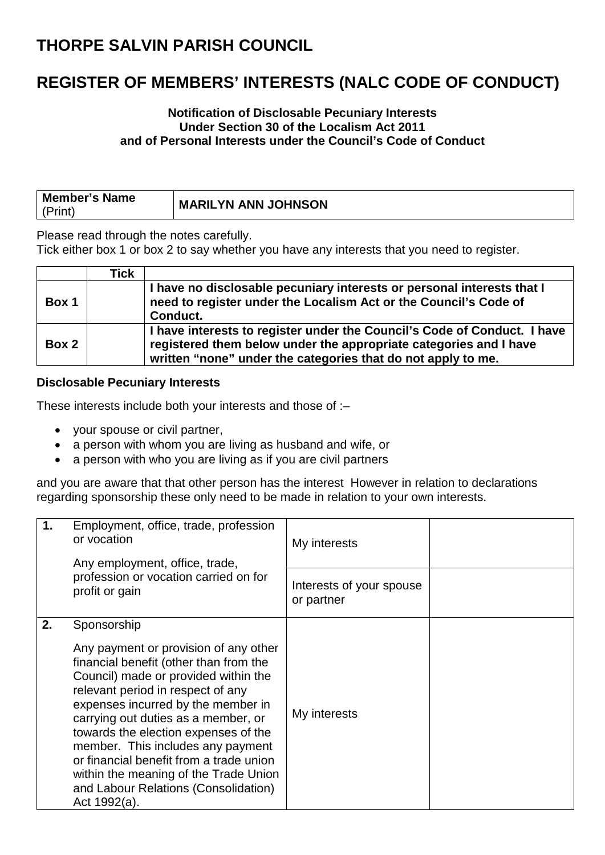#### **REGISTER OF MEMBERS' INTERESTS (NALC CODE OF CONDUCT)**

#### **Notification of Disclosable Pecuniary Interests Under Section 30 of the Localism Act 2011 and of Personal Interests under the Council's Code of Conduct**

| <b>Member's Name</b> | <b>MARILYN ANN JOHNSON</b> |
|----------------------|----------------------------|
| (Print)              |                            |

Please read through the notes carefully.

Tick either box 1 or box 2 to say whether you have any interests that you need to register.

|       | Tick |                                                                                                                                                                                                               |
|-------|------|---------------------------------------------------------------------------------------------------------------------------------------------------------------------------------------------------------------|
| Box 1 |      | I have no disclosable pecuniary interests or personal interests that I<br>need to register under the Localism Act or the Council's Code of<br>Conduct.                                                        |
| Box 2 |      | I have interests to register under the Council's Code of Conduct. I have<br>registered them below under the appropriate categories and I have<br>written "none" under the categories that do not apply to me. |

#### **Disclosable Pecuniary Interests**

These interests include both your interests and those of :–

- your spouse or civil partner,
- a person with whom you are living as husband and wife, or
- a person with who you are living as if you are civil partners

and you are aware that that other person has the interest However in relation to declarations regarding sponsorship these only need to be made in relation to your own interests.

| 1. | Employment, office, trade, profession<br>or vocation<br>Any employment, office, trade,                                                                                                                                                                                                                                                                                                                                                                                            | My interests                           |  |
|----|-----------------------------------------------------------------------------------------------------------------------------------------------------------------------------------------------------------------------------------------------------------------------------------------------------------------------------------------------------------------------------------------------------------------------------------------------------------------------------------|----------------------------------------|--|
|    | profession or vocation carried on for<br>profit or gain                                                                                                                                                                                                                                                                                                                                                                                                                           | Interests of your spouse<br>or partner |  |
| 2. | Sponsorship<br>Any payment or provision of any other<br>financial benefit (other than from the<br>Council) made or provided within the<br>relevant period in respect of any<br>expenses incurred by the member in<br>carrying out duties as a member, or<br>towards the election expenses of the<br>member. This includes any payment<br>or financial benefit from a trade union<br>within the meaning of the Trade Union<br>and Labour Relations (Consolidation)<br>Act 1992(a). | My interests                           |  |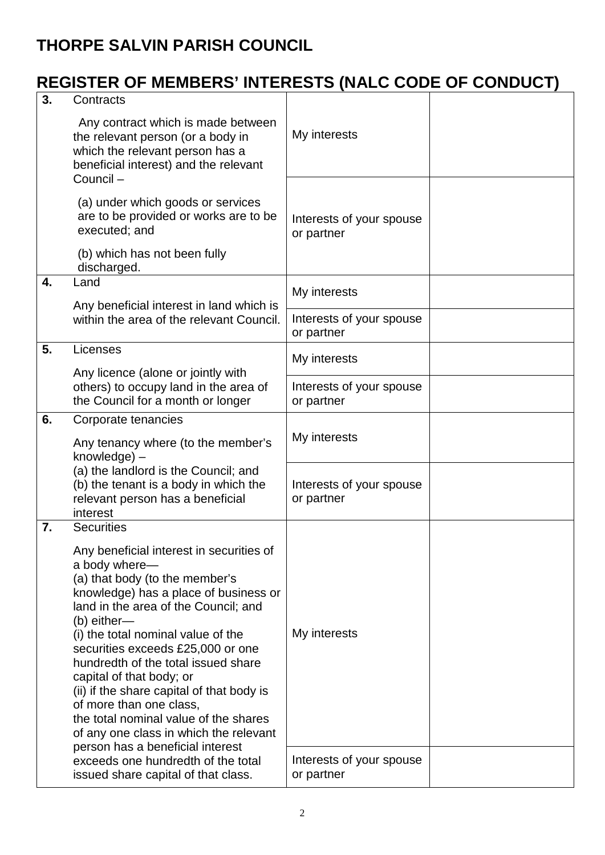# **REGISTER OF MEMBERS' INTERESTS (NALC CODE OF CONDUCT)**

| 3. | Contracts                                                                                                                                                                                                                                                                                                                                                                                                                                                                                                                                                     |                                        |  |
|----|---------------------------------------------------------------------------------------------------------------------------------------------------------------------------------------------------------------------------------------------------------------------------------------------------------------------------------------------------------------------------------------------------------------------------------------------------------------------------------------------------------------------------------------------------------------|----------------------------------------|--|
|    | Any contract which is made between<br>the relevant person (or a body in<br>which the relevant person has a<br>beneficial interest) and the relevant<br>Council-                                                                                                                                                                                                                                                                                                                                                                                               | My interests                           |  |
|    | (a) under which goods or services<br>are to be provided or works are to be<br>executed; and                                                                                                                                                                                                                                                                                                                                                                                                                                                                   | Interests of your spouse<br>or partner |  |
|    | (b) which has not been fully<br>discharged.                                                                                                                                                                                                                                                                                                                                                                                                                                                                                                                   |                                        |  |
| 4. | Land                                                                                                                                                                                                                                                                                                                                                                                                                                                                                                                                                          | My interests                           |  |
|    | Any beneficial interest in land which is<br>within the area of the relevant Council.                                                                                                                                                                                                                                                                                                                                                                                                                                                                          | Interests of your spouse<br>or partner |  |
| 5. | Licenses<br>Any licence (alone or jointly with                                                                                                                                                                                                                                                                                                                                                                                                                                                                                                                | My interests                           |  |
|    | others) to occupy land in the area of<br>the Council for a month or longer                                                                                                                                                                                                                                                                                                                                                                                                                                                                                    | Interests of your spouse<br>or partner |  |
| 6. | Corporate tenancies<br>Any tenancy where (to the member's<br>knowledge) -                                                                                                                                                                                                                                                                                                                                                                                                                                                                                     | My interests                           |  |
|    | (a) the landlord is the Council; and<br>(b) the tenant is a body in which the<br>relevant person has a beneficial<br>interest                                                                                                                                                                                                                                                                                                                                                                                                                                 | Interests of your spouse<br>or partner |  |
| 7. | <b>Securities</b><br>Any beneficial interest in securities of<br>a body where-<br>(a) that body (to the member's<br>knowledge) has a place of business or<br>land in the area of the Council; and<br>(b) either-<br>(i) the total nominal value of the<br>securities exceeds £25,000 or one<br>hundredth of the total issued share<br>capital of that body; or<br>(ii) if the share capital of that body is<br>of more than one class,<br>the total nominal value of the shares<br>of any one class in which the relevant<br>person has a beneficial interest | My interests                           |  |
|    | exceeds one hundredth of the total<br>issued share capital of that class.                                                                                                                                                                                                                                                                                                                                                                                                                                                                                     | Interests of your spouse<br>or partner |  |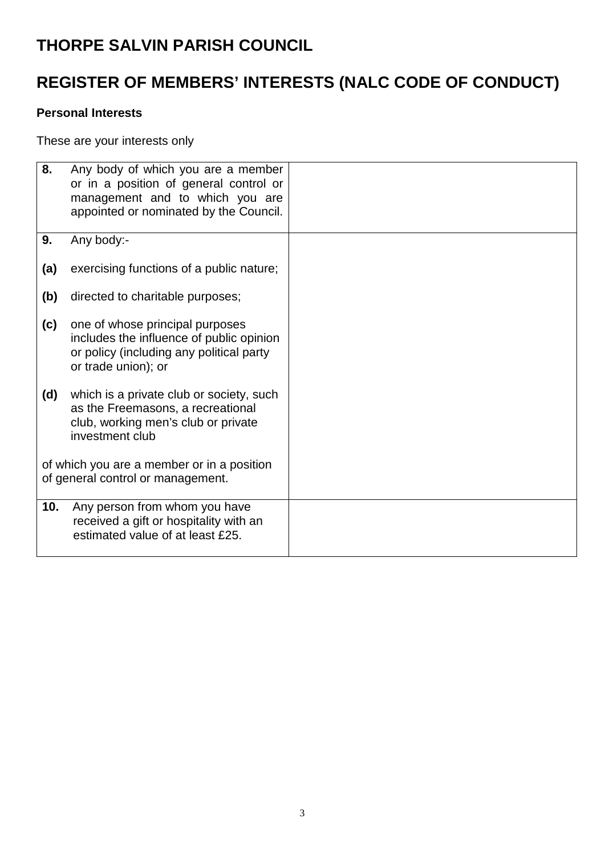## **REGISTER OF MEMBERS' INTERESTS (NALC CODE OF CONDUCT)**

#### **Personal Interests**

These are your interests only

| 8.  | Any body of which you are a member<br>or in a position of general control or<br>management and to which you are<br>appointed or nominated by the Council. |  |
|-----|-----------------------------------------------------------------------------------------------------------------------------------------------------------|--|
| 9.  | Any body:-                                                                                                                                                |  |
| (a) | exercising functions of a public nature;                                                                                                                  |  |
| (b) | directed to charitable purposes;                                                                                                                          |  |
| (c) | one of whose principal purposes<br>includes the influence of public opinion<br>or policy (including any political party<br>or trade union); or            |  |
| (d) | which is a private club or society, such<br>as the Freemasons, a recreational<br>club, working men's club or private<br>investment club                   |  |
|     | of which you are a member or in a position<br>of general control or management.                                                                           |  |
| 10. | Any person from whom you have<br>received a gift or hospitality with an<br>estimated value of at least £25.                                               |  |